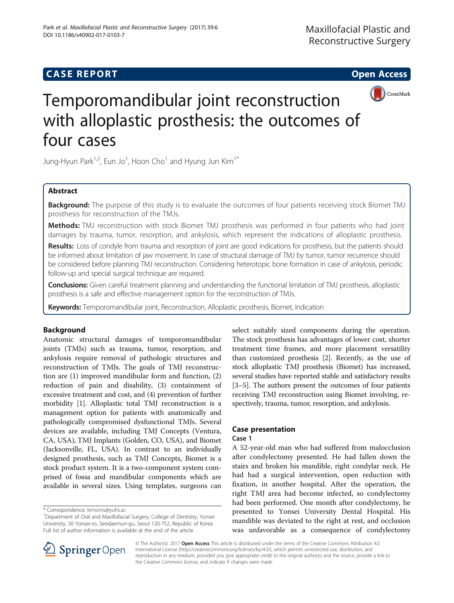# **CASE REPORT CASE REPORT CASE REPORT**





# Temporomandibular joint reconstruction with alloplastic prosthesis: the outcomes of four cases

Jung-Hyun Park $^{1,2}$ , Eun Jo $^1$ , Hoon Cho $^1$  and Hyung Jun Kim $^{1^\ast}$ 

# Abstract

**Background:** The purpose of this study is to evaluate the outcomes of four patients receiving stock Biomet TMJ prosthesis for reconstruction of the TMJs.

Methods: TMJ reconstruction with stock Biomet TMJ prosthesis was performed in four patients who had joint damages by trauma, tumor, resorption, and ankylosis, which represent the indications of alloplastic prosthesis.

Results: Loss of condyle from trauma and resorption of joint are good indications for prosthesis, but the patients should be informed about limitation of jaw movement. In case of structural damage of TMJ by tumor, tumor recurrence should be considered before planning TMJ reconstruction. Considering heterotopic bone formation in case of ankylosis, periodic follow-up and special surgical technique are required.

Conclusions: Given careful treatment planning and understanding the functional limitation of TMJ prosthesis, alloplastic prosthesis is a safe and effective management option for the reconstruction of TMJs.

Keywords: Temporomandibular joint, Reconstruction, Alloplastic prosthesis, Biomet, Indication

# Background

Anatomic structural damages of temporomandibular joints (TMJs) such as trauma, tumor, resorption, and ankylosis require removal of pathologic structures and reconstruction of TMJs. The goals of TMJ reconstruction are (1) improved mandibular form and function, (2) reduction of pain and disability, (3) containment of excessive treatment and cost, and (4) prevention of further morbidity [[1\]](#page-5-0). Alloplastic total TMJ reconstruction is a management option for patients with anatomically and pathologically compromised dysfunctional TMJs. Several devices are available, including TMJ Concepts (Ventura, CA, USA), TMJ Implants (Golden, CO, USA), and Biomet (Jacksonville, FL, USA). In contrast to an individually designed prosthesis, such as TMJ Concepts, Biomet is a stock product system. It is a two-component system comprised of fossa and mandibular components which are available in several sizes. Using templates, surgeons can

select suitably sized components during the operation. The stock prosthesis has advantages of lower cost, shorter treatment time frames, and more placement versatility than customized prosthesis [\[2\]](#page-5-0). Recently, as the use of stock alloplastic TMJ prosthesis (Biomet) has increased, several studies have reported stable and satisfactory results [[3](#page-5-0)–[5](#page-5-0)]. The authors present the outcomes of four patients receiving TMJ reconstruction using Biomet involving, respectively, trauma, tumor, resorption, and ankylosis.

# Case presentation

# Case 1

A 52-year-old man who had suffered from malocclusion after condylectomy presented. He had fallen down the stairs and broken his mandible, right condylar neck. He had had a surgical intervention, open reduction with fixation, in another hospital. After the operation, the right TMJ area had become infected, so condylectomy had been performed. One month after condylectomy, he presented to Yonsei University Dental Hospital. His mandible was deviated to the right at rest, and occlusion was unfavorable as a consequence of condylectomy



© The Author(s). 2017 **Open Access** This article is distributed under the terms of the Creative Commons Attribution 4.0 International License ([http://creativecommons.org/licenses/by/4.0/\)](http://creativecommons.org/licenses/by/4.0/), which permits unrestricted use, distribution, and reproduction in any medium, provided you give appropriate credit to the original author(s) and the source, provide a link to the Creative Commons license, and indicate if changes were made.

<sup>\*</sup> Correspondence: [kimoms@yuhs.ac](mailto:kimoms@yuhs.ac) <sup>1</sup>

<sup>&</sup>lt;sup>1</sup>Department of Oral and Maxillofacial Surgery, College of Dentistry, Yonsei University, 50 Yonsei-ro, Seodaemun-gu, Seoul 120-752, Republic of Korea Full list of author information is available at the end of the article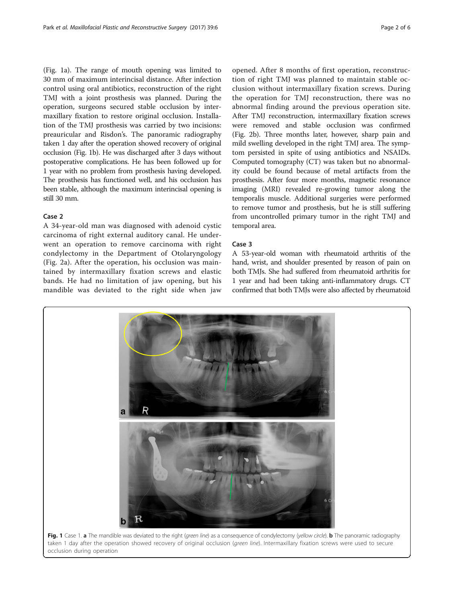(Fig. 1a). The range of mouth opening was limited to 30 mm of maximum interincisal distance. After infection control using oral antibiotics, reconstruction of the right TMJ with a joint prosthesis was planned. During the operation, surgeons secured stable occlusion by intermaxillary fixation to restore original occlusion. Installation of the TMJ prosthesis was carried by two incisions: preauricular and Risdon's. The panoramic radiography taken 1 day after the operation showed recovery of original occlusion (Fig. 1b). He was discharged after 3 days without postoperative complications. He has been followed up for 1 year with no problem from prosthesis having developed. The prosthesis has functioned well, and his occlusion has been stable, although the maximum interincisal opening is still 30 mm.

#### Case 2

A 34-year-old man was diagnosed with adenoid cystic carcinoma of right external auditory canal. He underwent an operation to remove carcinoma with right condylectomy in the Department of Otolaryngology (Fig. [2a\)](#page-2-0). After the operation, his occlusion was maintained by intermaxillary fixation screws and elastic bands. He had no limitation of jaw opening, but his mandible was deviated to the right side when jaw

opened. After 8 months of first operation, reconstruction of right TMJ was planned to maintain stable occlusion without intermaxillary fixation screws. During the operation for TMJ reconstruction, there was no abnormal finding around the previous operation site. After TMJ reconstruction, intermaxillary fixation screws were removed and stable occlusion was confirmed (Fig. [2b\)](#page-2-0). Three months later, however, sharp pain and mild swelling developed in the right TMJ area. The symptom persisted in spite of using antibiotics and NSAIDs. Computed tomography (CT) was taken but no abnormality could be found because of metal artifacts from the prosthesis. After four more months, magnetic resonance imaging (MRI) revealed re-growing tumor along the temporalis muscle. Additional surgeries were performed to remove tumor and prosthesis, but he is still suffering from uncontrolled primary tumor in the right TMJ and temporal area.

#### Case 3

A 53-year-old woman with rheumatoid arthritis of the hand, wrist, and shoulder presented by reason of pain on both TMJs. She had suffered from rheumatoid arthritis for 1 year and had been taking anti-inflammatory drugs. CT confirmed that both TMJs were also affected by rheumatoid

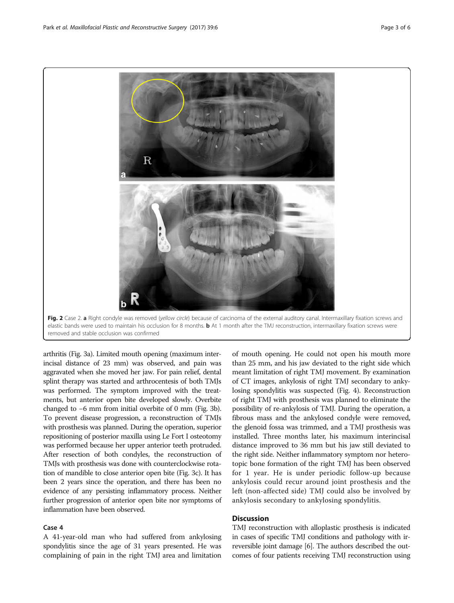arthritis (Fig. [3a\)](#page-3-0). Limited mouth opening (maximum interincisal distance of 23 mm) was observed, and pain was aggravated when she moved her jaw. For pain relief, dental splint therapy was started and arthrocentesis of both TMJs was performed. The symptom improved with the treatments, but anterior open bite developed slowly. Overbite changed to −6 mm from initial overbite of 0 mm (Fig. [3b](#page-3-0)). To prevent disease progression, a reconstruction of TMJs with prosthesis was planned. During the operation, superior repositioning of posterior maxilla using Le Fort I osteotomy was performed because her upper anterior teeth protruded. After resection of both condyles, the reconstruction of TMJs with prosthesis was done with counterclockwise rotation of mandible to close anterior open bite (Fig. [3c](#page-3-0)). It has been 2 years since the operation, and there has been no evidence of any persisting inflammatory process. Neither further progression of anterior open bite nor symptoms of inflammation have been observed.

#### Case 4

A 41-year-old man who had suffered from ankylosing spondylitis since the age of 31 years presented. He was complaining of pain in the right TMJ area and limitation of mouth opening. He could not open his mouth more than 25 mm, and his jaw deviated to the right side which meant limitation of right TMJ movement. By examination of CT images, ankylosis of right TMJ secondary to ankylosing spondylitis was suspected (Fig. [4](#page-4-0)). Reconstruction of right TMJ with prosthesis was planned to eliminate the possibility of re-ankylosis of TMJ. During the operation, a fibrous mass and the ankylosed condyle were removed, the glenoid fossa was trimmed, and a TMJ prosthesis was installed. Three months later, his maximum interincisal distance improved to 36 mm but his jaw still deviated to the right side. Neither inflammatory symptom nor heterotopic bone formation of the right TMJ has been observed for 1 year. He is under periodic follow-up because ankylosis could recur around joint prosthesis and the left (non-affected side) TMJ could also be involved by ankylosis secondary to ankylosing spondylitis.

# **Discussion**

TMJ reconstruction with alloplastic prosthesis is indicated in cases of specific TMJ conditions and pathology with irreversible joint damage [\[6](#page-5-0)]. The authors described the outcomes of four patients receiving TMJ reconstruction using

<span id="page-2-0"></span>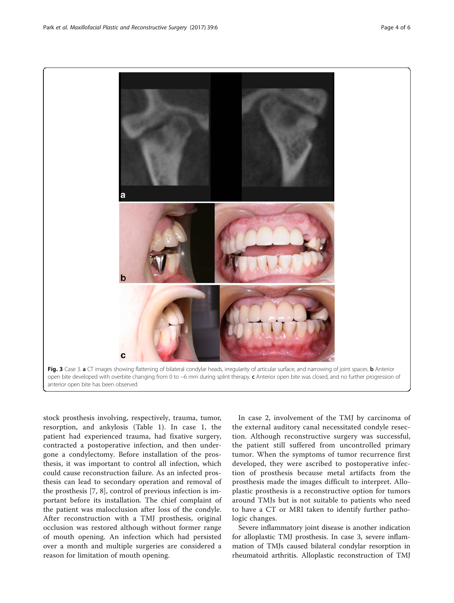stock prosthesis involving, respectively, trauma, tumor, resorption, and ankylosis (Table [1](#page-4-0)). In case 1, the patient had experienced trauma, had fixative surgery, contracted a postoperative infection, and then undergone a condylectomy. Before installation of the prosthesis, it was important to control all infection, which could cause reconstruction failure. As an infected prosthesis can lead to secondary operation and removal of the prosthesis [[7, 8\]](#page-5-0), control of previous infection is important before its installation. The chief complaint of the patient was malocclusion after loss of the condyle. After reconstruction with a TMJ prosthesis, original occlusion was restored although without former range of mouth opening. An infection which had persisted over a month and multiple surgeries are considered a reason for limitation of mouth opening.

In case 2, involvement of the TMJ by carcinoma of the external auditory canal necessitated condyle resection. Although reconstructive surgery was successful, the patient still suffered from uncontrolled primary tumor. When the symptoms of tumor recurrence first developed, they were ascribed to postoperative infection of prosthesis because metal artifacts from the prosthesis made the images difficult to interpret. Alloplastic prosthesis is a reconstructive option for tumors around TMJs but is not suitable to patients who need to have a CT or MRI taken to identify further pathologic changes.

Severe inflammatory joint disease is another indication for alloplastic TMJ prosthesis. In case 3, severe inflammation of TMJs caused bilateral condylar resorption in rheumatoid arthritis. Alloplastic reconstruction of TMJ

<span id="page-3-0"></span>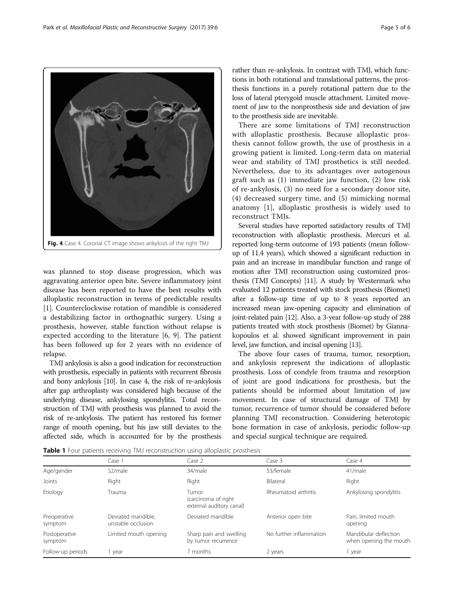was planned to stop disease progression, which was aggravating anterior open bite. Severe inflammatory joint disease has been reported to have the best results with alloplastic reconstruction in terms of predictable results [[1\]](#page-5-0). Counterclockwise rotation of mandible is considered a destabilizing factor in orthognathic surgery. Using a prosthesis, however, stable function without relapse is expected according to the literature [[6, 9](#page-5-0)]. The patient has been followed up for 2 years with no evidence of relapse.

TMJ ankylosis is also a good indication for reconstruction with prosthesis, especially in patients with recurrent fibrosis and bony ankylosis [\[10\]](#page-5-0). In case 4, the risk of re-ankylosis after gap arthroplasty was considered high because of the underlying disease, ankylosing spondylitis. Total reconstruction of TMJ with prosthesis was planned to avoid the risk of re-ankylosis. The patient has restored his former range of mouth opening, but his jaw still deviates to the affected side, which is accounted for by the prosthesis

rather than re-ankylosis. In contrast with TMJ, which functions in both rotational and translational patterns, the prosthesis functions in a purely rotational pattern due to the loss of lateral pterygoid muscle attachment. Limited movement of jaw to the nonprosthesis side and deviation of jaw to the prosthesis side are inevitable.

There are some limitations of TMJ reconstruction with alloplastic prosthesis. Because alloplastic prosthesis cannot follow growth, the use of prosthesis in a growing patient is limited. Long-term data on material wear and stability of TMJ prosthetics is still needed. Nevertheless, due to its advantages over autogenous graft such as (1) immediate jaw function, (2) low risk of re-ankylosis, (3) no need for a secondary donor site, (4) decreased surgery time, and (5) mimicking normal anatomy [[1\]](#page-5-0), alloplastic prosthesis is widely used to reconstruct TMJs.

Several studies have reported satisfactory results of TMJ reconstruction with alloplastic prosthesis. Mercuri et al. reported long-term outcome of 193 patients (mean followup of 11.4 years), which showed a significant reduction in pain and an increase in mandibular function and range of motion after TMJ reconstruction using customized prosthesis (TMJ Concepts) [\[11\]](#page-5-0). A study by Westermark who evaluated 12 patients treated with stock prosthesis (Biomet) after a follow-up time of up to 8 years reported an increased mean jaw-opening capacity and elimination of joint-related pain [\[12\]](#page-5-0). Also, a 3-year follow-up study of 288 patients treated with stock prosthesis (Biomet) by Giannakopoulos et al. showed significant improvement in pain level, jaw function, and incisal opening [\[13\]](#page-5-0).

The above four cases of trauma, tumor, resorption, and ankylosis represent the indications of alloplastic prosthesis. Loss of condyle from trauma and resorption of joint are good indications for prosthesis, but the patients should be informed about limitation of jaw movement. In case of structural damage of TMJ by tumor, recurrence of tumor should be considered before planning TMJ reconstruction. Considering heterotopic bone formation in case of ankylosis, periodic follow-up and special surgical technique are required.

|  | Table 1 Four patients receiving TMJ reconstruction using alloplastic prosthesis |
|--|---------------------------------------------------------------------------------|

|                          | Case 1                                   | Case 2                                                   | Case 3                  | Case 4                                          |
|--------------------------|------------------------------------------|----------------------------------------------------------|-------------------------|-------------------------------------------------|
| Age/gender               | 52/male                                  | 34/male                                                  | 53/female               | 41/male                                         |
| Joints                   | Right                                    | Right                                                    | Bilateral               | Right                                           |
| Etiology                 | Trauma                                   | Tumor<br>(carcinoma of right<br>external auditory canal) | Rheumatoid arthritis    | Ankylosing spondylitis                          |
| Preoperative<br>symptom  | Deviated mandible,<br>unstable occlusion | Deviated mandible                                        | Anterior open bite      | Pain, limited mouth<br>opening                  |
| Postoperative<br>symptom | Limited mouth opening                    | Sharp pain and swelling<br>by tumor recurrence           | No further inflammation | Mandibular deflection<br>when opening the mouth |
| Follow-up periods        | 1 year                                   | 7 months                                                 | 2 years                 | l year                                          |

<span id="page-4-0"></span>